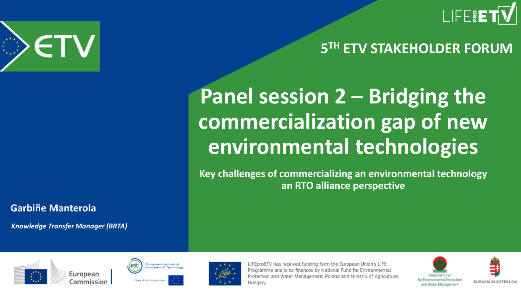

#### **5 TH ETV STAKEHOLDER FORUM**

## **Panel session 2 – Bridging the commercialization gap of new environmental technologies**

**Key challenges of commercializing an environmental technology an RTO alliance perspective**



**Garbiñe Manterola**

*Knowledge Transfer Manager (BRTA)*







LIFEproETV has received funding form the European Union's LIFE Programme and is co-financed by National Fund for Environmental Protection and Water Management, Poland and Ministry of Agriculture, Hungary



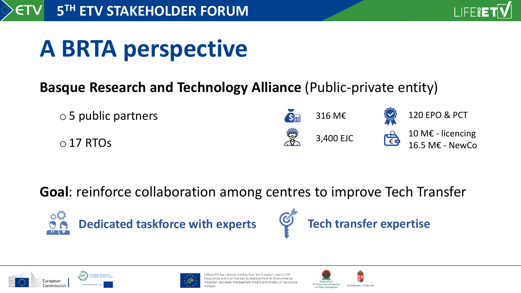

# **A BRTA perspective**

#### **Basque Research and Technology Alliance (Public-private entity)**



**Goal**: reinforce collaboration among centres to improve Tech Transfer

 $\circ$ Q **Dedicated taskforce with experts**







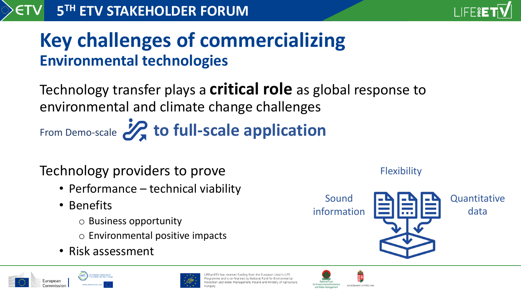

Technology transfer plays a **critical role** as global response to environmental and climate change challenges From Demo-scale 22 to full-scale application

#### Technology providers to prove

- Performance technical viability
- Benefits
	- o Business opportunity
	- o Environmental positive impacts
- Risk assessment







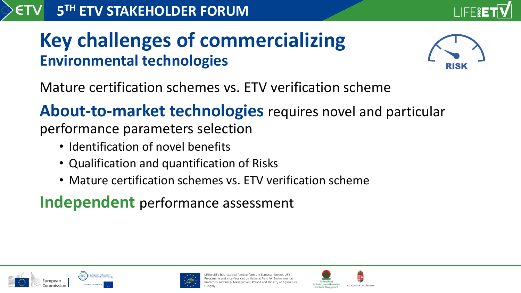



Mature certification schemes vs. ETV verification scheme

**About-to-market technologies** requires novel and particular performance parameters selection

- Identification of novel benefits
- Qualification and quantification of Risks
- Mature certification schemes vs. ETV verification scheme

**Independent** performance assessment





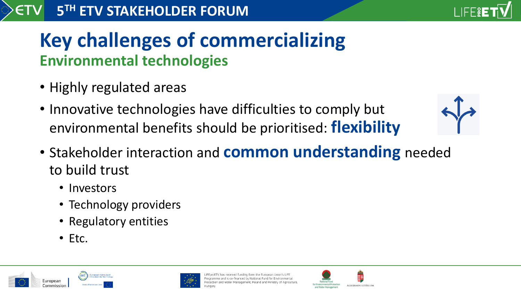

- Highly regulated areas
- Innovative technologies have difficulties to comply but environmental benefits should be prioritised: **flexibility**
- Stakeholder interaction and **common understanding** needed to build trust
	- Investors
	- Technology providers
	- Regulatory entities
	- Etc.